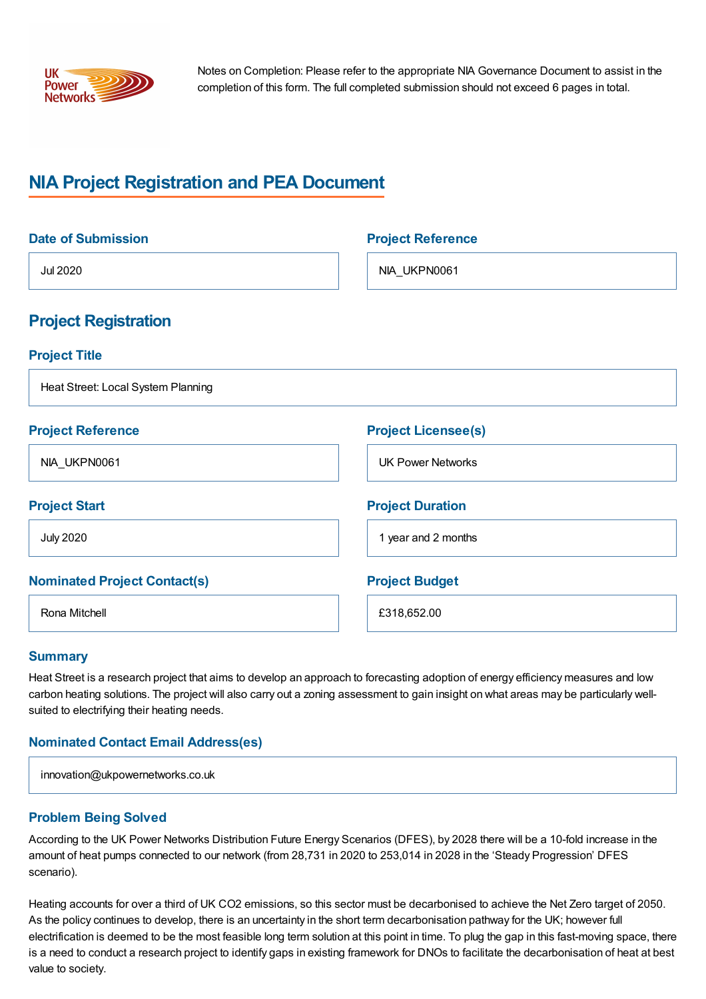

Notes on Completion: Please refer to the appropriate NIA Governance Document to assist in the completion of this form. The full completed submission should not exceed 6 pages in total.

# **NIA Project Registration and PEA Document**

| <b>Date of Submission</b>           | <b>Project Reference</b>   |
|-------------------------------------|----------------------------|
| <b>Jul 2020</b>                     | NIA_UKPN0061               |
| <b>Project Registration</b>         |                            |
| <b>Project Title</b>                |                            |
| Heat Street: Local System Planning  |                            |
| <b>Project Reference</b>            | <b>Project Licensee(s)</b> |
| NIA_UKPN0061                        | <b>UK Power Networks</b>   |
| <b>Project Start</b>                | <b>Project Duration</b>    |
| <b>July 2020</b>                    | 1 year and 2 months        |
| <b>Nominated Project Contact(s)</b> | <b>Project Budget</b>      |
| Rona Mitchell                       | £318,652.00                |

#### **Summary**

Heat Street is a research project that aims to develop an approach to forecasting adoption of energy efficiency measures and low carbon heating solutions. The project will also carry out a zoning assessment to gain insight on what areas may be particularly wellsuited to electrifying their heating needs.

# **Nominated Contact Email Address(es)**

|  | innovation@ukpowernetworks.co.uk |
|--|----------------------------------|
|--|----------------------------------|

# **Problem Being Solved**

According to the UK Power Networks Distribution Future Energy Scenarios (DFES), by 2028 there will be a 10-fold increase in the amount of heat pumps connected to our network (from 28,731 in 2020 to 253,014 in 2028 in the 'Steady Progression' DFES scenario).

Heating accounts for over a third of UK CO2 emissions, so this sector must be decarbonised to achieve the Net Zero target of 2050. As the policy continues to develop, there is an uncertainty in the short term decarbonisation pathway for the UK; however full electrification is deemed to be the most feasible long term solution at this point in time. To plug the gap in this fast-moving space, there is a need to conduct a research project to identify gaps in existing framework for DNOs to facilitate the decarbonisation of heat at best value to society.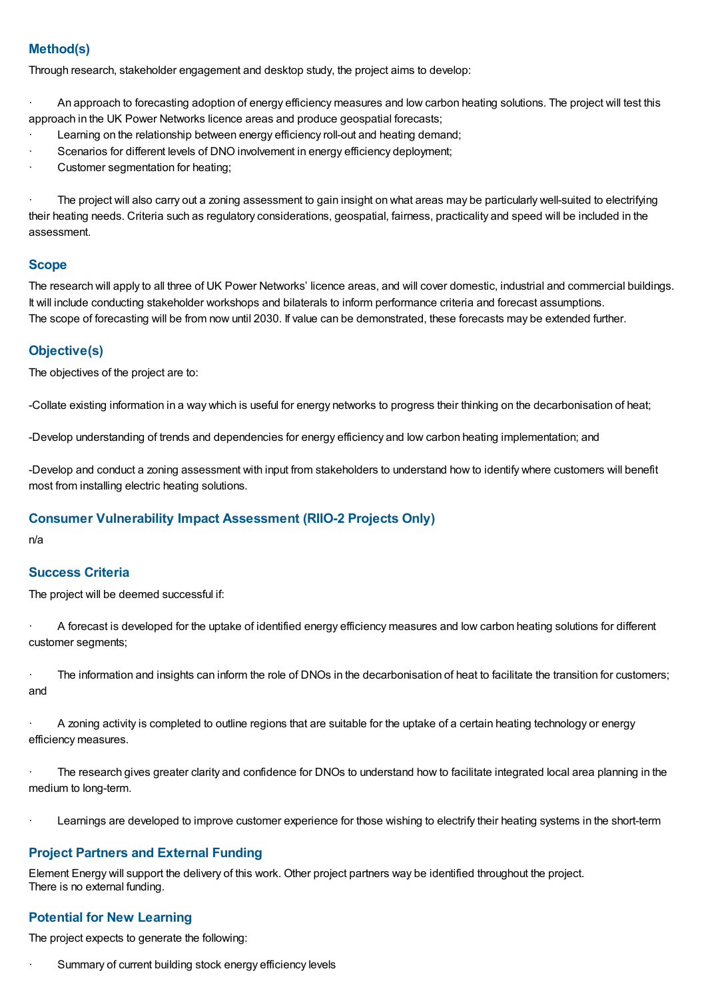# **Method(s)**

Through research, stakeholder engagement and desktop study, the project aims to develop:

· An approach to forecasting adoption of energy efficiency measures and low carbon heating solutions. The project will test this approach in the UK Power Networks licence areas and produce geospatial forecasts;

- Learning on the relationship between energy efficiency roll-out and heating demand;
- Scenarios for different levels of DNO involvement in energy efficiency deployment;
- Customer segmentation for heating;

The project will also carry out a zoning assessment to gain insight on what areas may be particularly well-suited to electrifying their heating needs. Criteria such as regulatory considerations, geospatial, fairness, practicality and speed will be included in the assessment.

#### **Scope**

The research will apply to all three of UK Power Networks' licence areas, and will cover domestic, industrial and commercial buildings. It will include conducting stakeholder workshops and bilaterals to inform performance criteria and forecast assumptions. The scope of forecasting will be from now until 2030. If value can be demonstrated, these forecasts may be extended further.

# **Objective(s)**

The objectives of the project are to:

-Collate existing information in a way which is useful for energy networks to progress their thinking on the decarbonisation of heat;

-Develop understanding of trends and dependencies for energy efficiency and low carbon heating implementation; and

-Develop and conduct a zoning assessment with input from stakeholders to understand how to identify where customers will benefit most from installing electric heating solutions.

# **Consumer Vulnerability Impact Assessment (RIIO-2 Projects Only)**

n/a

# **Success Criteria**

The project will be deemed successful if:

· A forecast is developed for the uptake of identified energy efficiency measures and low carbon heating solutions for different customer segments;

· The information and insights can inform the role of DNOs in the decarbonisation of heat to facilitate the transition for customers; and

· A zoning activity is completed to outline regions that are suitable for the uptake of a certain heating technology or energy efficiency measures.

The research gives greater clarity and confidence for DNOs to understand how to facilitate integrated local area planning in the medium to long-term.

Learnings are developed to improve customer experience for those wishing to electrify their heating systems in the short-term

# **Project Partners and External Funding**

Element Energy will support the delivery of this work. Other project partners way be identified throughout the project. There is no external funding.

# **Potential for New Learning**

The project expects to generate the following:

Summary of current building stock energy efficiency levels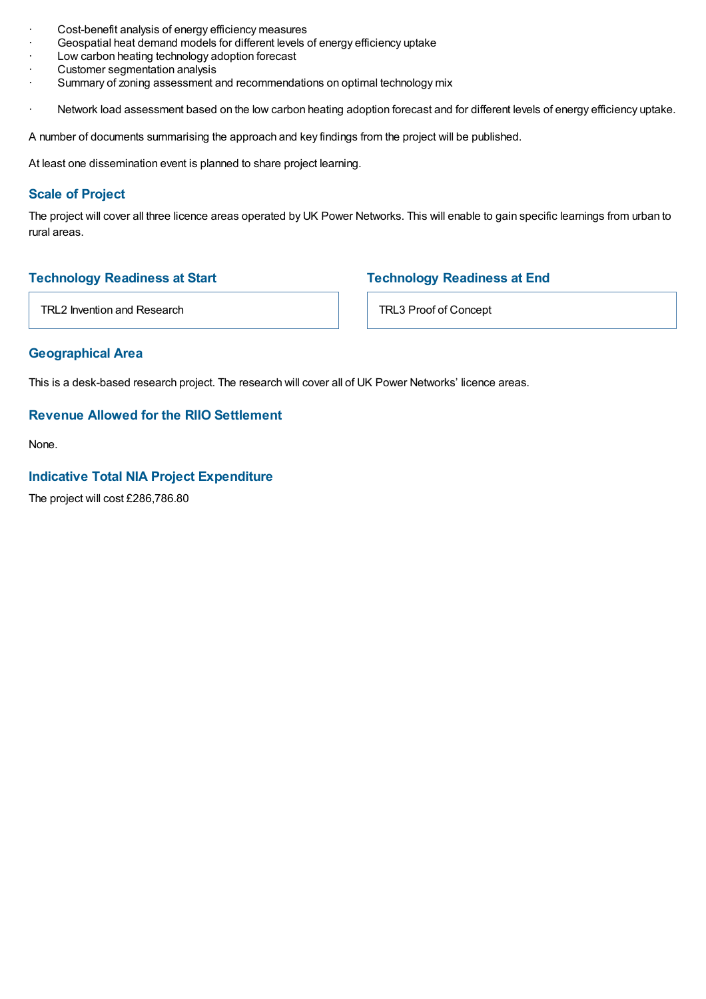- Cost-benefit analysis of energy efficiency measures
- Geospatial heat demand models for different levels of energy efficiency uptake
- Low carbon heating technology adoption forecast
- Customer segmentation analysis
- Summary of zoning assessment and recommendations on optimal technology mix
- Network load assessment based on the low carbon heating adoption forecast and for different levels of energy efficiency uptake.

A number of documents summarising the approach and key findings from the project will be published.

At least one dissemination event is planned to share project learning.

# **Scale of Project**

The project will cover all three licence areas operated by UK Power Networks. This will enable to gain specific learnings from urban to rural areas.

# **Technology Readiness at Start**

# **Technology Readiness at End**

TRL2 Invention and Research

TRL3 Proof of Concept

#### **Geographical Area**

This is a desk-based research project. The research will cover all of UK Power Networks' licence areas.

# **Revenue Allowed for the RIIO Settlement**

None.

#### **Indicative Total NIA Project Expenditure**

The project will cost £286,786.80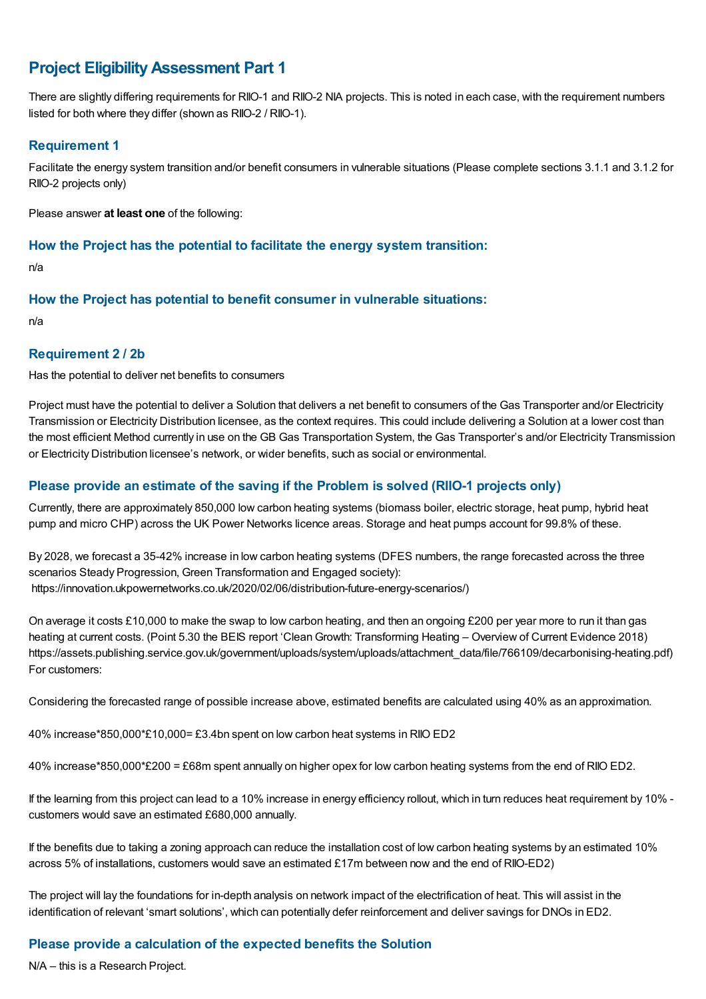# **Project EligibilityAssessment Part 1**

There are slightly differing requirements for RIIO-1 and RIIO-2 NIA projects. This is noted in each case, with the requirement numbers listed for both where they differ (shown as RIIO-2 / RIIO-1).

# **Requirement 1**

Facilitate the energy system transition and/or benefit consumers in vulnerable situations (Please complete sections 3.1.1 and 3.1.2 for RIIO-2 projects only)

Please answer **at least one** of the following:

#### **How the Project has the potential to facilitate the energy system transition:**

n/a

#### **How the Project has potential to benefit consumer in vulnerable situations:**

n/a

#### **Requirement 2 / 2b**

Has the potential to deliver net benefits to consumers

Project must have the potential to deliver a Solution that delivers a net benefit to consumers of the Gas Transporter and/or Electricity Transmission or Electricity Distribution licensee, as the context requires. This could include delivering a Solution at a lower cost than the most efficient Method currently in use on the GB Gas Transportation System, the Gas Transporter's and/or Electricity Transmission or Electricity Distribution licensee's network, or wider benefits, such as social or environmental.

# **Please provide an estimate of the saving if the Problem is solved (RIIO-1 projects only)**

Currently, there are approximately 850,000 low carbon heating systems (biomass boiler, electric storage, heat pump, hybrid heat pump and micro CHP) across the UK Power Networks licence areas. Storage and heat pumps account for 99.8% of these.

By 2028, we forecast a 35-42% increase in low carbon heating systems (DFES numbers, the range forecasted across the three scenarios Steady Progression, Green Transformation and Engaged society): https://innovation.ukpowernetworks.co.uk/2020/02/06/distribution-future-energy-scenarios/)

On average it costs £10,000 to make the swap to low carbon heating, and then an ongoing £200 per year more to run it than gas heating at current costs. (Point 5.30 the BEIS report 'Clean Growth: Transforming Heating – Overview of Current Evidence 2018) https://assets.publishing.service.gov.uk/government/uploads/system/uploads/attachment\_data/file/766109/decarbonising-heating.pdf) For customers:

Considering the forecasted range of possible increase above, estimated benefits are calculated using 40% as an approximation.

40% increase\*850,000\*£10,000= £3.4bn spent on low carbon heat systems in RIIO ED2

40% increase\*850,000\*£200 = £68m spent annually on higher opex for low carbon heating systems from the end of RIIO ED2.

If the learning from this project can lead to a 10% increase in energy efficiency rollout, which in turn reduces heat requirement by 10% customers would save an estimated £680,000 annually.

If the benefits due to taking a zoning approach can reduce the installation cost of low carbon heating systems by an estimated 10% across 5% of installations, customers would save an estimated £17m between now and the end of RIIO-ED2)

The project will lay the foundations for in-depth analysis on network impact of the electrification of heat. This will assist in the identification of relevant 'smart solutions', which can potentially defer reinforcement and deliver savings for DNOs in ED2.

# **Please provide a calculation of the expected benefits the Solution**

N/A – this is a Research Project.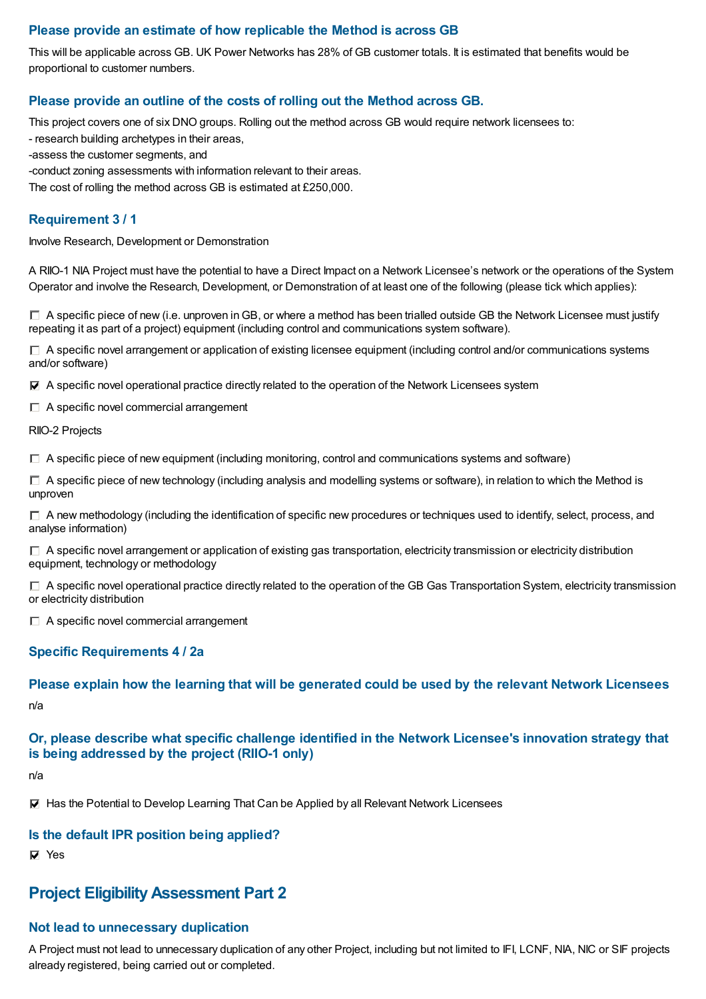# **Please provide an estimate of how replicable the Method is across GB**

This will be applicable across GB. UK Power Networks has 28% of GB customer totals. It is estimated that benefits would be proportional to customer numbers.

# **Please provide an outline of the costs of rolling out the Method across GB.**

This project covers one of six DNO groups. Rolling out the method across GB would require network licensees to:

- research building archetypes in their areas,
- -assess the customer segments, and

-conduct zoning assessments with information relevant to their areas.

The cost of rolling the method across GB is estimated at £250,000.

#### **Requirement 3 / 1**

Involve Research, Development or Demonstration

A RIIO-1 NIA Project must have the potential to have a Direct Impact on a Network Licensee's network or the operations of the System Operator and involve the Research, Development, or Demonstration of at least one of the following (please tick which applies):

 $\Box$  A specific piece of new (i.e. unproven in GB, or where a method has been trialled outside GB the Network Licensee must justify repeating it as part of a project) equipment (including control and communications system software).

 $\Box$  A specific novel arrangement or application of existing licensee equipment (including control and/or communications systems and/or software)

 $\blacktriangledown$  A specific novel operational practice directly related to the operation of the Network Licensees system

 $\Box$  A specific novel commercial arrangement

RIIO-2 Projects

 $\Box$  A specific piece of new equipment (including monitoring, control and communications systems and software)

 $\Box$  A specific piece of new technology (including analysis and modelling systems or software), in relation to which the Method is unproven

 $\Box$  A new methodology (including the identification of specific new procedures or techniques used to identify, select, process, and analyse information)

 $\Box$  A specific novel arrangement or application of existing gas transportation, electricity transmission or electricity distribution equipment, technology or methodology

 $\Box$  A specific novel operational practice directly related to the operation of the GB Gas Transportation System, electricity transmission or electricity distribution

 $\Box$  A specific novel commercial arrangement

#### **Specific Requirements 4 / 2a**

#### **Please explain how the learning that will be generated could be used by the relevant Network Licensees**

n/a

# **Or, please describe what specific challenge identified in the Network Licensee's innovation strategy that is being addressed by the project (RIIO-1 only)**

n/a

 $\nabla$  Has the Potential to Develop Learning That Can be Applied by all Relevant Network Licensees

#### **Is the default IPR position being applied?**

**⊽** Yes

# **Project EligibilityAssessment Part 2**

#### **Not lead to unnecessary duplication**

A Project must not lead to unnecessary duplication of any other Project, including but not limited to IFI, LCNF, NIA, NIC or SIF projects already registered, being carried out or completed.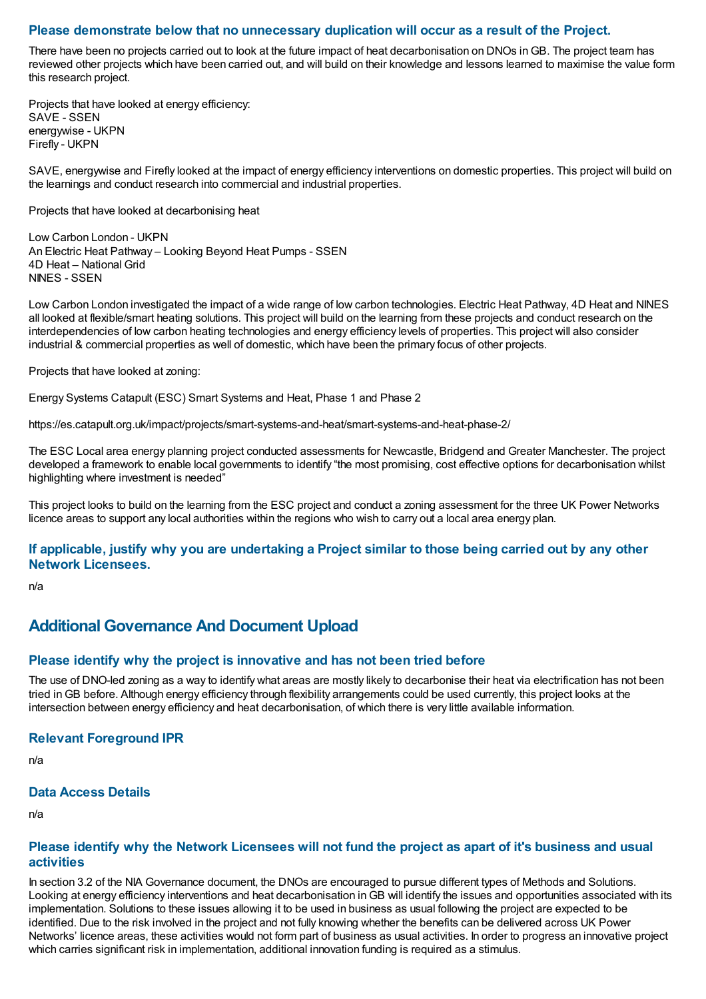#### **Please demonstrate below that no unnecessary duplication will occur as a result of the Project.**

There have been no projects carried out to look at the future impact of heat decarbonisation on DNOs inGB. The project team has reviewed other projects which have been carried out, and will build on their knowledge and lessons learned to maximise the value form this research project.

Projects that have looked at energy efficiency: SAVE - SSEN energywise - UKPN Firefly - UKPN

SAVE, energywise and Firefly looked at the impact of energy efficiency interventions on domestic properties. This project will build on the learnings and conduct research into commercial and industrial properties.

Projects that have looked at decarbonising heat

Low Carbon London - UKPN An Electric Heat Pathway – Looking Beyond Heat Pumps - SSEN 4D Heat – National Grid NINES - SSEN

Low Carbon London investigated the impact of a wide range of low carbon technologies. Electric Heat Pathway, 4D Heat and NINES all looked at flexible/smart heating solutions. This project will build on the learning from these projects and conduct research on the interdependencies of low carbon heating technologies and energy efficiency levels of properties. This project will also consider industrial & commercial properties as well of domestic, which have been the primary focus of other projects.

Projects that have looked at zoning:

Energy Systems Catapult (ESC) Smart Systems and Heat, Phase 1 and Phase 2

https://es.catapult.org.uk/impact/projects/smart-systems-and-heat/smart-systems-and-heat-phase-2/

The ESC Local area energy planning project conducted assessments for Newcastle, Bridgend and Greater Manchester. The project developed a framework to enable local governments to identify "the most promising, cost effective options for decarbonisation whilst highlighting where investment is needed"

This project looks to build on the learning from the ESC project and conduct a zoning assessment for the three UK Power Networks licence areas to support any local authorities within the regions who wish to carry out a local area energy plan.

#### If applicable, justify why you are undertaking a Project similar to those being carried out by any other **Network Licensees.**

n/a

# **Additional Governance And Document Upload**

#### **Please identify why the project is innovative and has not been tried before**

The use of DNO-led zoning as a way to identify what areas are mostly likely to decarbonise their heat via electrification has not been tried inGB before. Although energy efficiency through flexibility arrangements could be used currently, this project looks at the intersection between energy efficiency and heat decarbonisation, of which there is very little available information.

#### **Relevant Foreground IPR**

n/a

#### **Data Access Details**

n/a

#### Please identify why the Network Licensees will not fund the project as apart of it's business and usual **activities**

In section 3.2 of the NIA Governance document, the DNOs are encouraged to pursue different types of Methods and Solutions. Looking at energy efficiency interventions and heat decarbonisation inGB will identify the issues and opportunities associated with its implementation. Solutions to these issues allowing it to be used in business as usual following the project are expected to be identified. Due to the risk involved in the project and not fully knowing whether the benefits can be delivered across UK Power Networks' licence areas, these activities would not form part of business as usual activities. In order to progress an innovative project which carries significant risk in implementation, additional innovation funding is required as a stimulus.